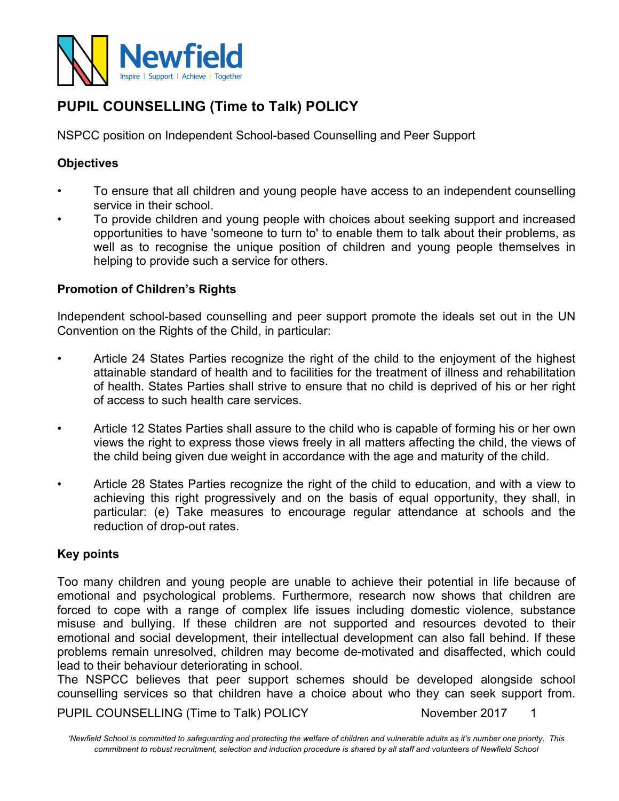

# **PUPIL COUNSELLING (Time to Talk) POLICY**

NSPCC position on Independent School-based Counselling and Peer Support

# **Objectives**

- To ensure that all children and young people have access to an independent counselling service in their school.
- To provide children and young people with choices about seeking support and increased opportunities to have 'someone to turn to' to enable them to talk about their problems, as well as to recognise the unique position of children and young people themselves in helping to provide such a service for others.

## **Promotion of Children's Rights**

Independent school-based counselling and peer support promote the ideals set out in the UN Convention on the Rights of the Child, in particular:

- Article 24 States Parties recognize the right of the child to the enjoyment of the highest attainable standard of health and to facilities for the treatment of illness and rehabilitation of health. States Parties shall strive to ensure that no child is deprived of his or her right of access to such health care services.
- Article 12 States Parties shall assure to the child who is capable of forming his or her own views the right to express those views freely in all matters affecting the child, the views of the child being given due weight in accordance with the age and maturity of the child.
- Article 28 States Parties recognize the right of the child to education, and with a view to achieving this right progressively and on the basis of equal opportunity, they shall, in particular: (e) Take measures to encourage regular attendance at schools and the reduction of drop-out rates.

#### **Key points**

Too many children and young people are unable to achieve their potential in life because of emotional and psychological problems. Furthermore, research now shows that children are forced to cope with a range of complex life issues including domestic violence, substance misuse and bullying. If these children are not supported and resources devoted to their emotional and social development, their intellectual development can also fall behind. If these problems remain unresolved, children may become de-motivated and disaffected, which could lead to their behaviour deteriorating in school.

The NSPCC believes that peer support schemes should be developed alongside school counselling services so that children have a choice about who they can seek support from.

PUPIL COUNSELLING (Time to Talk) POLICY November 2017 1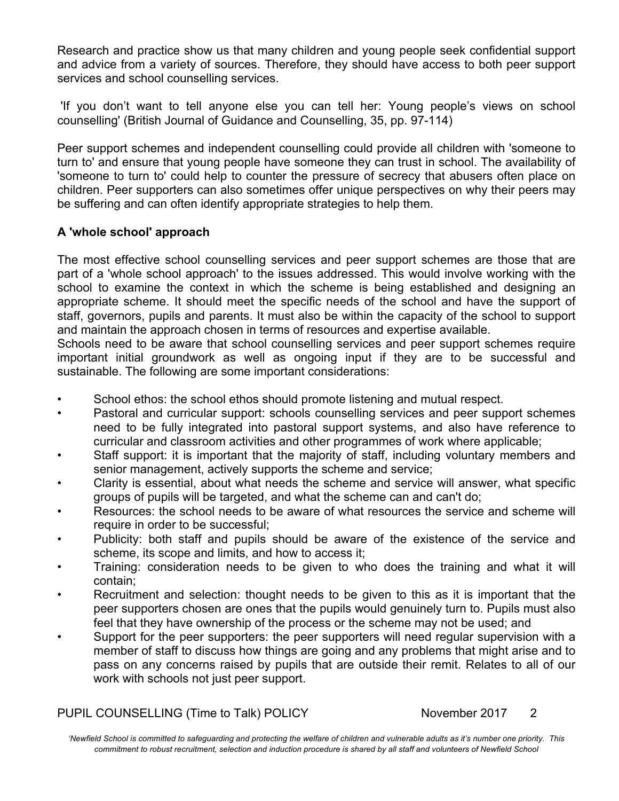Research and practice show us that many children and young people seek confidential support and advice from a variety of sources. Therefore, they should have access to both peer support services and school counselling services.

'If you don't want to tell anyone else you can tell her: Young people's views on school counselling' (British Journal of Guidance and Counselling, 35, pp. 97-114)

Peer support schemes and independent counselling could provide all children with 'someone to turn to' and ensure that young people have someone they can trust in school. The availability of 'someone to turn to' could help to counter the pressure of secrecy that abusers often place on children. Peer supporters can also sometimes offer unique perspectives on why their peers may be suffering and can often identify appropriate strategies to help them.

# **A 'whole school' approach**

The most effective school counselling services and peer support schemes are those that are part of a 'whole school approach' to the issues addressed. This would involve working with the school to examine the context in which the scheme is being established and designing an appropriate scheme. It should meet the specific needs of the school and have the support of staff, governors, pupils and parents. It must also be within the capacity of the school to support and maintain the approach chosen in terms of resources and expertise available.

Schools need to be aware that school counselling services and peer support schemes require important initial groundwork as well as ongoing input if they are to be successful and sustainable. The following are some important considerations:

- School ethos: the school ethos should promote listening and mutual respect.
- Pastoral and curricular support: schools counselling services and peer support schemes need to be fully integrated into pastoral support systems, and also have reference to curricular and classroom activities and other programmes of work where applicable;
- Staff support: it is important that the majority of staff, including voluntary members and senior management, actively supports the scheme and service;
- Clarity is essential, about what needs the scheme and service will answer, what specific groups of pupils will be targeted, and what the scheme can and can't do;
- Resources: the school needs to be aware of what resources the service and scheme will require in order to be successful;
- Publicity: both staff and pupils should be aware of the existence of the service and scheme, its scope and limits, and how to access it;
- Training: consideration needs to be given to who does the training and what it will contain;
- Recruitment and selection: thought needs to be given to this as it is important that the peer supporters chosen are ones that the pupils would genuinely turn to. Pupils must also feel that they have ownership of the process or the scheme may not be used; and
- Support for the peer supporters: the peer supporters will need regular supervision with a member of staff to discuss how things are going and any problems that might arise and to pass on any concerns raised by pupils that are outside their remit. Relates to all of our work with schools not just peer support.

PUPIL COUNSELLING (Time to Talk) POLICY November 2017 2

*'Newfield School is committed to safeguarding and protecting the welfare of children and vulnerable adults as it's number one priority. This commitment to robust recruitment, selection and induction procedure is shared by all staff and volunteers of Newfield School*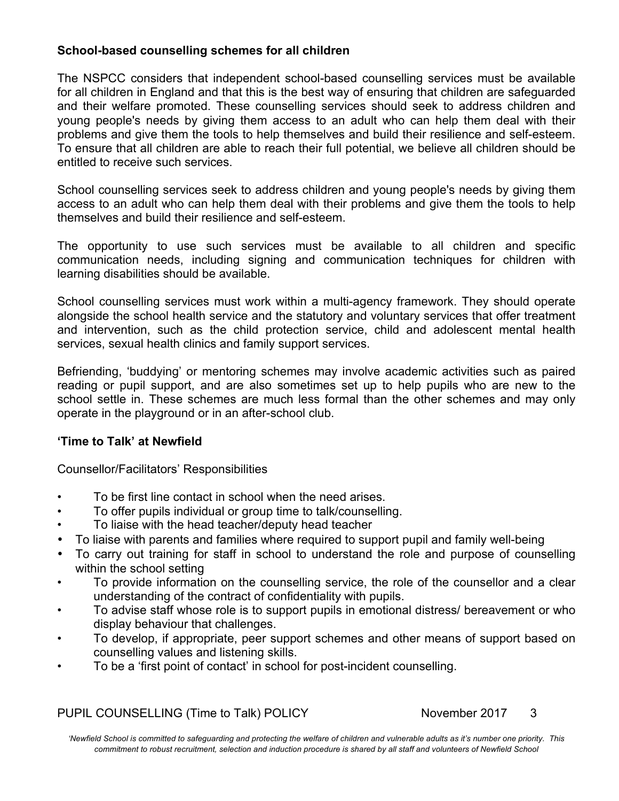## **School-based counselling schemes for all children**

The NSPCC considers that independent school-based counselling services must be available for all children in England and that this is the best way of ensuring that children are safeguarded and their welfare promoted. These counselling services should seek to address children and young people's needs by giving them access to an adult who can help them deal with their problems and give them the tools to help themselves and build their resilience and self-esteem. To ensure that all children are able to reach their full potential, we believe all children should be entitled to receive such services.

School counselling services seek to address children and young people's needs by giving them access to an adult who can help them deal with their problems and give them the tools to help themselves and build their resilience and self-esteem.

The opportunity to use such services must be available to all children and specific communication needs, including signing and communication techniques for children with learning disabilities should be available.

School counselling services must work within a multi-agency framework. They should operate alongside the school health service and the statutory and voluntary services that offer treatment and intervention, such as the child protection service, child and adolescent mental health services, sexual health clinics and family support services.

Befriending, 'buddying' or mentoring schemes may involve academic activities such as paired reading or pupil support, and are also sometimes set up to help pupils who are new to the school settle in. These schemes are much less formal than the other schemes and may only operate in the playground or in an after-school club.

#### **'Time to Talk' at Newfield**

Counsellor/Facilitators' Responsibilities

- To be first line contact in school when the need arises.
- To offer pupils individual or group time to talk/counselling.
- To liaise with the head teacher/deputy head teacher
- To liaise with parents and families where required to support pupil and family well-being
- To carry out training for staff in school to understand the role and purpose of counselling within the school setting
- To provide information on the counselling service, the role of the counsellor and a clear understanding of the contract of confidentiality with pupils.
- To advise staff whose role is to support pupils in emotional distress/ bereavement or who display behaviour that challenges.
- To develop, if appropriate, peer support schemes and other means of support based on counselling values and listening skills.
- To be a 'first point of contact' in school for post-incident counselling.

PUPIL COUNSELLING (Time to Talk) POLICY November 2017 3

*'Newfield School is committed to safeguarding and protecting the welfare of children and vulnerable adults as it's number one priority. This commitment to robust recruitment, selection and induction procedure is shared by all staff and volunteers of Newfield School*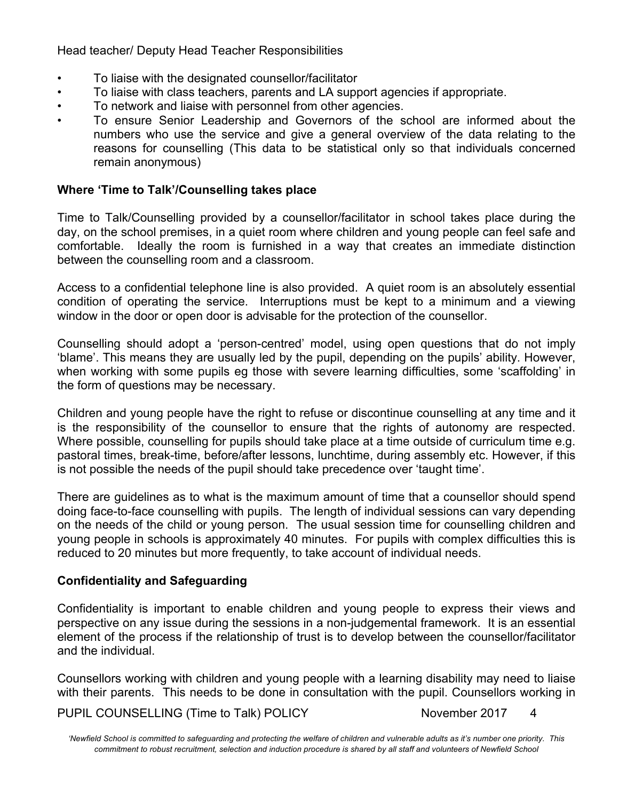Head teacher/ Deputy Head Teacher Responsibilities

- To liaise with the designated counsellor/facilitator
- To liaise with class teachers, parents and LA support agencies if appropriate.
- To network and liaise with personnel from other agencies.
- To ensure Senior Leadership and Governors of the school are informed about the numbers who use the service and give a general overview of the data relating to the reasons for counselling (This data to be statistical only so that individuals concerned remain anonymous)

# **Where 'Time to Talk'/Counselling takes place**

Time to Talk/Counselling provided by a counsellor/facilitator in school takes place during the day, on the school premises, in a quiet room where children and young people can feel safe and comfortable. Ideally the room is furnished in a way that creates an immediate distinction between the counselling room and a classroom.

Access to a confidential telephone line is also provided. A quiet room is an absolutely essential condition of operating the service. Interruptions must be kept to a minimum and a viewing window in the door or open door is advisable for the protection of the counsellor.

Counselling should adopt a 'person-centred' model, using open questions that do not imply 'blame'. This means they are usually led by the pupil, depending on the pupils' ability. However, when working with some pupils eg those with severe learning difficulties, some 'scaffolding' in the form of questions may be necessary.

Children and young people have the right to refuse or discontinue counselling at any time and it is the responsibility of the counsellor to ensure that the rights of autonomy are respected. Where possible, counselling for pupils should take place at a time outside of curriculum time e.g. pastoral times, break-time, before/after lessons, lunchtime, during assembly etc. However, if this is not possible the needs of the pupil should take precedence over 'taught time'.

There are guidelines as to what is the maximum amount of time that a counsellor should spend doing face-to-face counselling with pupils. The length of individual sessions can vary depending on the needs of the child or young person. The usual session time for counselling children and young people in schools is approximately 40 minutes. For pupils with complex difficulties this is reduced to 20 minutes but more frequently, to take account of individual needs.

# **Confidentiality and Safeguarding**

Confidentiality is important to enable children and young people to express their views and perspective on any issue during the sessions in a non-judgemental framework. It is an essential element of the process if the relationship of trust is to develop between the counsellor/facilitator and the individual.

Counsellors working with children and young people with a learning disability may need to liaise with their parents. This needs to be done in consultation with the pupil. Counsellors working in

PUPIL COUNSELLING (Time to Talk) POLICY November 2017 4

*'Newfield School is committed to safeguarding and protecting the welfare of children and vulnerable adults as it's number one priority. This commitment to robust recruitment, selection and induction procedure is shared by all staff and volunteers of Newfield School*